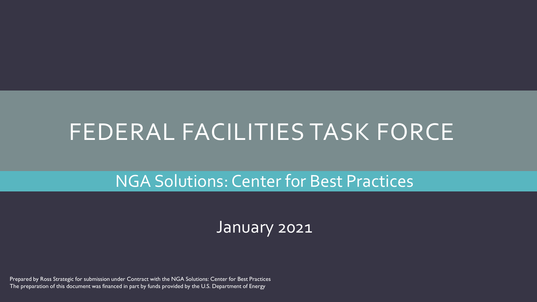# FEDERAL FACILITIES TASK FORCE

NGA Solutions: Center for Best Practices

January 2021

Prepared by Ross Strategic for submission under Contract with the NGA Solutions: Center for Best Practices The preparation of this document was financed in part by funds provided by the U.S. Department of Energy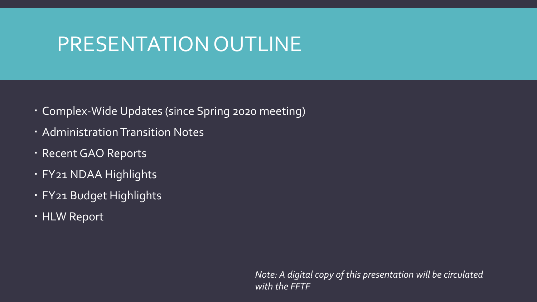# PRESENTATION OUTLINE

- Complex-Wide Updates (since Spring 2020 meeting)
- Administration Transition Notes
- Recent GAO Reports
- FY21 NDAA Highlights
- FY21 Budget Highlights
- HLW Report

*Note: A digital copy of this presentation will be circulated with the FFTF*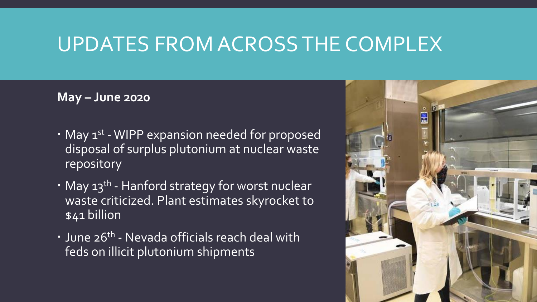### **May – June 2020**

- May 1<sup>st</sup> WIPP expansion needed for proposed disposal of surplus plutonium at nuclear waste repository
- May 13<sup>th</sup> Hanford strategy for worst nuclear waste criticized. Plant estimates skyrocket to \$41 billion
- June 26<sup>th</sup> Nevada officials reach deal with feds on illicit plutonium shipments

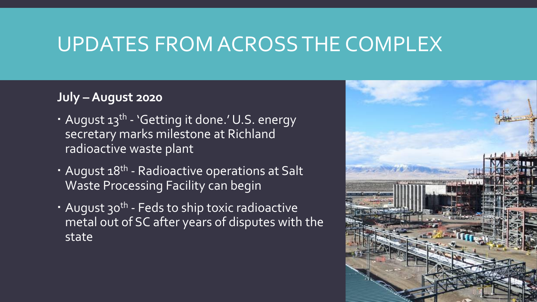### **July – August 2020**

- August 13<sup>th</sup> 'Getting it done.' U.S. energy secretary marks milestone at Richland radioactive waste plant
- **August 18<sup>th</sup>** Radioactive operations at Salt Waste Processing Facility can begin
- August 30<sup>th</sup> Feds to ship toxic radioactive metal out of SC after years of disputes with the state

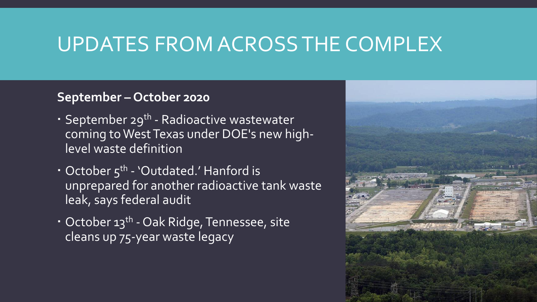### **September – October 2020**

- September 29<sup>th</sup> Radioactive wastewater coming to West Texas under DOE's new highlevel waste definition
- October 5<sup>th</sup> 'Outdated.' Hanford is unprepared for another radioactive tank waste leak, says federal audit
- October 13<sup>th</sup> Oak Ridge, Tennessee, site cleans up 75-year waste legacy

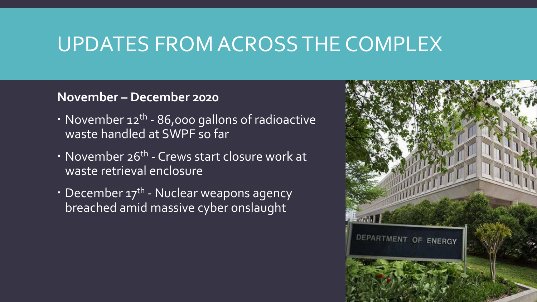### **November – December 2020**

- November 12<sup>th</sup> 86,000 gallons of radioactive waste handled at SWPF so far
- November 26<sup>th</sup> Crews start closure work at waste retrieval enclosure
- December 17<sup>th</sup> Nuclear weapons agency breached amid massive cyber onslaught

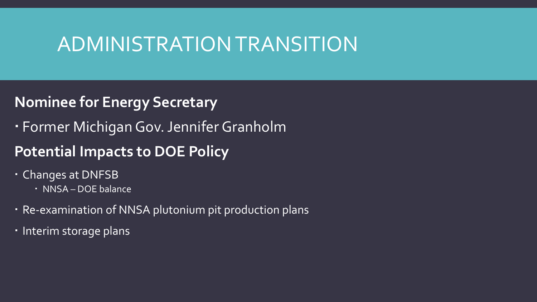## ADMINISTRATION TRANSITION

### **Nominee for Energy Secretary**

Former Michigan Gov. Jennifer Granholm

### **Potential Impacts to DOE Policy**

- Changes at DNFSB
	- · NNSA DOE balance
- Re-examination of NNSA plutonium pit production plans
- Interim storage plans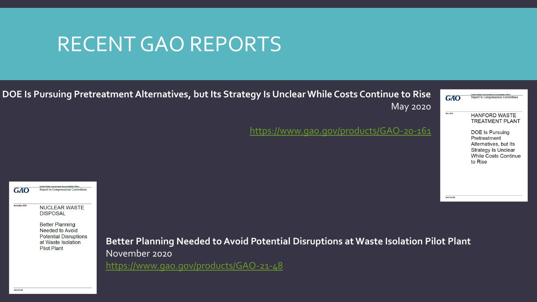## RECENT GAO REPORTS



**Better Planning** Needed to Avoid **Potential Disruptions** at Waste Isolation **Pilot Plant** 

**Better Planning Needed to Avoid Potential Disruptions at Waste Isolation Pilot Plant** November 2020

<https://www.gao.gov/products/GAO-21-48>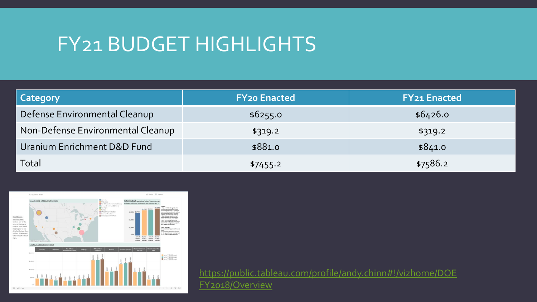# FY21 BUDGET HIGHLIGHTS

| Category                          | <b>FY20 Enacted</b> | <b>FY21 Enacted</b> |
|-----------------------------------|---------------------|---------------------|
| Defense Environmental Cleanup     | \$6255.0            | \$6426.0            |
| Non-Defense Environmental Cleanup | \$319.2             | \$319.2             |
| Uranium Enrichment D&D Fund       | \$881.0             | \$841.0             |
| Total                             | \$7455.2            | \$7586.2            |



[https://public.tableau.com/profile/andy.chinn#!/vizhome/DOE](https://public.tableau.com/profile/andy.chinn#!/vizhome/DOEFY2018/Overview) FY2018/Overview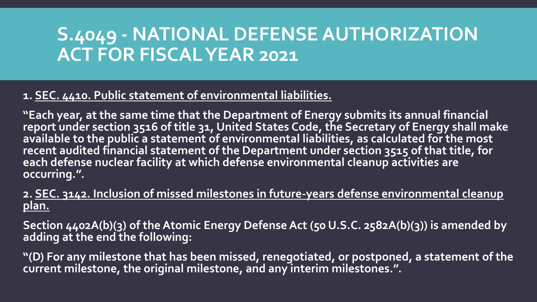## **S.4049 - NATIONAL DEFENSE AUTHORIZATION ACT FOR FISCAL YEAR 2021**

#### **1. SEC. 4410. Public statement of environmental liabilities.**

**"Each year, at the same time that the Department of Energy submits its annual financial report under section 3516 of title 31, United States Code, the Secretary of Energy shall make available to the public a statement of environmental liabilities, as calculated for the most recent audited financial statement of the Department under section 3515 of that title, for each defense nuclear facility at which defense environmental cleanup activities are occurring.".**

#### **2. SEC. 3142. Inclusion of missed milestones in future-years defense environmental cleanup plan.**

**Section 4402A(b)(3) of the Atomic Energy Defense Act (50 U.S.C. 2582A(b)(3)) is amended by adding at the end the following:**

**"(D) For any milestone that has been missed, renegotiated, or postponed, a statement of the current milestone, the original milestone, and any interim milestones.".**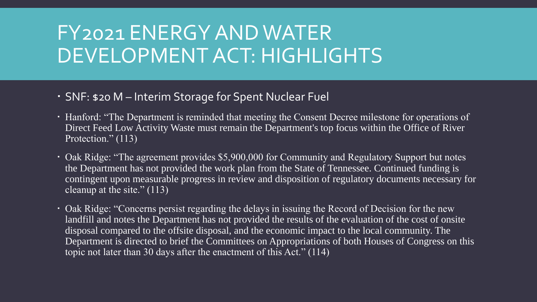# FY2021 ENERGY AND WATER DEVELOPMENT ACT: HIGHLIGHTS

- SNF: \$20 M Interim Storage for Spent Nuclear Fuel
- Hanford: "The Department is reminded that meeting the Consent Decree milestone for operations of Direct Feed Low Activity Waste must remain the Department's top focus within the Office of River Protection." (113)
- Oak Ridge: "The agreement provides \$5,900,000 for Community and Regulatory Support but notes the Department has not provided the work plan from the State of Tennessee. Continued funding is contingent upon measurable progress in review and disposition of regulatory documents necessary for cleanup at the site." (113)
- Oak Ridge: "Concerns persist regarding the delays in issuing the Record of Decision for the new landfill and notes the Department has not provided the results of the evaluation of the cost of onsite disposal compared to the offsite disposal, and the economic impact to the local community. The Department is directed to brief the Committees on Appropriations of both Houses of Congress on this topic not later than 30 days after the enactment of this Act." (114)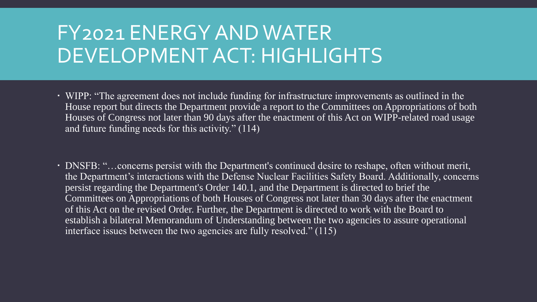# FY2021 ENERGY AND WATER DEVELOPMENT ACT: HIGHLIGHTS

- WIPP: "The agreement does not include funding for infrastructure improvements as outlined in the House report but directs the Department provide a report to the Committees on Appropriations of both Houses of Congress not later than 90 days after the enactment of this Act on WIPP-related road usage and future funding needs for this activity." (114)
- DNSFB: "…concerns persist with the Department's continued desire to reshape, often without merit, the Department's interactions with the Defense Nuclear Facilities Safety Board. Additionally, concerns persist regarding the Department's Order 140.1, and the Department is directed to brief the Committees on Appropriations of both Houses of Congress not later than 30 days after the enactment of this Act on the revised Order. Further, the Department is directed to work with the Board to establish a bilateral Memorandum of Understanding between the two agencies to assure operational interface issues between the two agencies are fully resolved." (115)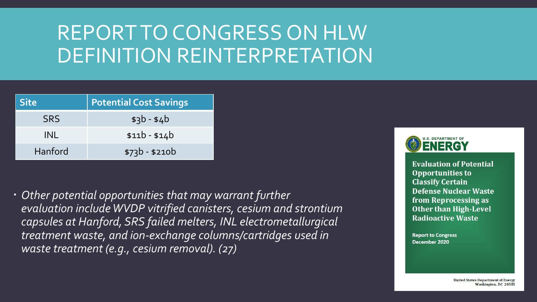# REPORT TO CONGRESS ON HLW DEFINITION REINTERPRETATION

| <b>Site</b> | <b>Potential Cost Savings</b> |  |
|-------------|-------------------------------|--|
| <b>SRS</b>  | $$3b - $4b$                   |  |
| INL         | $$11b - $14b$                 |  |
| Hanford     | $$73b - $210b$                |  |

 *Other potential opportunities that may warrant further evaluation include WVDP vitrified canisters, cesium and strontium capsules at Hanford, SRS failed melters, INL electrometallurgical treatment waste, and ion-exchange columns/cartridges used in waste treatment (e.g., cesium removal). (27)*



**Evaluation of Potential Opportunities to Classify Certain Defense Nuclear Waste** from Reprocessing as **Other than High-Level Radioactive Waste** 

**Report to Congress** December 2020

> **United States Department of Energy** Washington, DC 20585